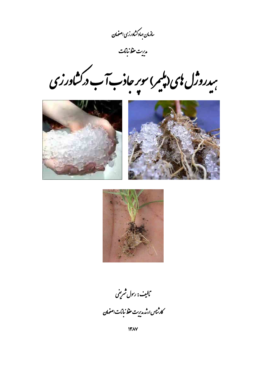سازمان حیاد کشاورزی اصفهان<br>م

مدرت حفظ نبا<sup>ب</sup>ات<br>مق

سدروژل یی دیگیر) سوبر حادب آب درکشاورزی<br>مس







مالیف: ر*بول شریف*ی كارثتاس ارشد مديرت حنظ نباتات اصفهان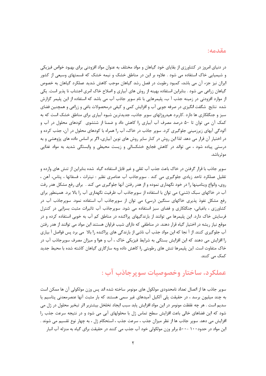#### مقدمه:

در دنیای امروز در کشاورزی از بقایای خود گیاهان و مواد مختلف به عنوان مواد افزودنی برای بهبود خواص فیزیکی و شیمیایی خاک استفاده می شود . علاوه بر این در مناطق خشک و نیمه خشک که قسمتهای وسیعی از کشور ایران نیز جزء آن می باشد، کمبود رطوبت در فصل رشد گیاهان موجب کاهش شدید عملکرد گیاهان به خصوص گیاهان زراعی می شود . بنابراین استفاده بهینه از روش های آبیاری و اصلاح خاک امری اجتناب نا پذیر است. یکی از موارد افزودنی در زمینه جذب آ ب، پلیمرهایی با نام سوپر جاذب آب می باشد که استفاده از این پلیمر گزارش شده نتایج شگفت انگیزی در صرفه جویی آب و افزایش کمی و کیفی درمحصولات باغی و زراعی و همچنین فضای سبز و جنگلکاری ها دارد .کاربرد هیدروژلهای سویر جاذب، جدیدترین شیوه آبیاری برای مناطق خشک است که به کمک آن می توان تا ۵۰ درصد مصرف آب آبیاری را کاهش داد و ضمنا از شتشوی کودهای محلول در آب و آلودگی آبهای زیرزمینی جلوگیری کرد. سوپر جاذب در خاک، آب را همراه با کودهای محلول در آن، جذب کرده و در اختیار آن قرار می دهد. لذا این روش در کنار سایر روش های نوین آبیاری، اگر بر اساس داده های پژوهشی و به درستی پیاده شود ، می تواند در کاهش فجایع خشکسالی و زیست محیطی و وابستگی شدید به مواد غذایی مو ثر باشد.

سوپر جاذب با قرار گرفتن در خاک باعث جذب آب ثقلی و غیر قابل استفاده گیاه شده بنابراین از تنش های وارده و تقلیل عملکرد تاحد زیادی جلوگیری می کند . سوپرجاذب آب عناصری نظیر : نیترات ، فسفاتها ، پتاس، آهن ، روی، وانواع ویتامینها را در خود نگهداری نموده و از هدر رفتن آنها جلوگیری می کند . برای رفع مشکل هدر رفت آب در خاکهای سبک (شنی) می توان با استفاده از سوپرجاذب آب ظرفیت نگهداری آب را بالا برد. همینطور برای رفع مشکل نفوذ پذیری خاکهای سنگین (رسی) می توان از سوپرجاذب آب استفاده نمود. سوپرجاذب آب در کشاورزی ، باغبانی، جنگلکاری و فضای سبز استفاده می شود. سوپرجاذب آب تاثیرات مثبت بسزایی در کنترل فرسایش خاک دارد. این پلیمرها می توانند از بارندگیهای پراکنده در مناطق کم آب به خوبی استفاده کرده و در موقع نیاز ریشه در اختیار گیاه قرار دهند. در مناطقی که دارای شیب فراوان هستند این مواد می توانند از هدر رفتن آب جلوگیری کنند. از آ نجا که این مواد جذب آب ناشی از بارندگی های پراکنده را بالا ًمی برد پس فواصل آ بیاری را افزایش می دهند که این افزایش بستگی به شرایط فیزیکی خاک ، آب و هوا و میزان مصرف سوپرجاذب آب در خاک متفاوت است. این پلیمرها تنش های رطوبتی را کاهش داده وبه سازگاری گیاهان کاشته شده با محیط جدید کمک می کنند.

## عملکرد، ساختار وخصوصیات سویرجاذب آب :

سوپر جاذب ها از اتصال تعداد نامحدودی مولکول های مونومر ساخته شده اند پس وزن مولکولی آن ها ممکن است به چند میلیون برسد ، در حقیقت پلی اَلکیل اَمیدهای غیر سمی هستند که بار مثبت اَنها عنصرمعدنی پتاسیم یا سديم است . هر چه غلظت مونومر در اين مواد افزايش يابد سبب ايجاد تخلخل بيشتربر اثر تبخير محلول در ژل مي شود که این فضاهای خالی باعث افزایش سطح تماس ژل با محلولهای آبی می شود و در نتیجه سرعت جذب را افزایش می دهد. سویر جاذب ها از نظر میزان جذب ، سرعت جذب ، استحکام ژل ، به چهار نوع تقسیم می شوند . این مواد در حدود ۱۰۰ -۵۰۰ برابر وزن مولکولی خود آب جذب می کنند در حقیقت برای گیاه به منزله آب انبار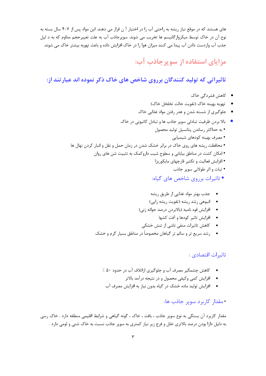های هستند که در موقع نباز ریشه به راحتی آب را در اختیار آ ن قرار می دهند. این مواد پس از ۷-۴ سال بسته به نوع آن در خاک توسط میکروارگانیسم ها تخریب می شوند. سوپرجاذب آب به علت تغییرحجم مداوم که به د لیل جذب آب وازدست دادن آب پیدا می کنند میزان هوا را در خاک افزایش داده و باعث تهویه بیشتر خاک می شوند.

# مزایای استفاده از سوپرجاذب آب:

### تاثیراتی که تولید کنندگان برروی شاخص های خاک ذکر نموده اند عبارتند از:

- کاهش فشردگے خاک
- تهويه بهينه خاک (تقويت حالت تخلخل خاک)
- جلوگیری از شسته شدن و هدر رفتن مواد غذایی خاک
- بالا بردن ظرفیت تبادلی سویر جاذب ها و تبادل کاتیونی در خاک • به حداکثر رساندن پتانسیل تولید محصول • مصرف بهينه كودهاي شيميايي • محافظت ریشه های روی خاک در برابر خشک شدن در زمان حمل و نقل و انبار کردن نهال ها • امکان کشت در مناطق بیابانی و سطوح شیب داروکمک به تثبیت شن های روان • افزایش فعالیت و تکثیر قارچهای مایکوریزا • ثبات و اثر طولانی سویر جاذب
	- تاثیرات برروی شاخص های گیاه:
	- جذب بهتر مواد غذایی از طریق ریشه
	- انبوهی رشد ریشه (تقویت ریشه زایی)
	- افزايش قوه ناميه (بالابردن درصد جوانه زني)
		- افزايش تاثير كودها و آفت كشها
	- کاهش تاثیرات منفی ناشی از تنش خشکی
	- درشد سریع تر و سالم تر گیاهان مخصوصاً در مناطق بسیار گرم و خشک

#### تاثيرات اقتصادي :

- کاهش چشمگیر مصرف آب و جلوگیری ازاتلاف آب در حدود ۵۰ ٪
	- افزايش كمي وكيفي محصول و در نتيجه درآمد بالاتر
	- افزایش تولید ماده خشک در گیاه بدون نیاز به افزایش مصرف آب

#### • مقدار كاربرد سوير جاذب ها:

مقدار کاربرد آن بستگی به نوع سوپر جاذب ، بافت ، خاک ، گونه گیاهی و شرایط اقلیمی منطقه دارد . خاک رسی به دلیل دارا بودن درصد بالاتری خلل و فرج زیر نیاز کمتری به سوپر جاذب نسبت به خاک شنی و لومی دارد .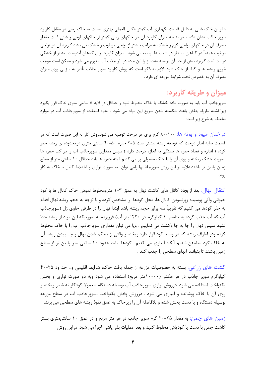بنابراین خاک شنبی به دلیل قابلیت نگهداری آب کمتر عکس العملی بهتری نسبت به خاک رسی در مقابل کاربرد سوپر جاذب نشان داده ، در نتیجه میزان کاربرد آن در خاکهای رسی کمتر از خاکهای لومی و شنی است مقدار مصرف آن در خاکهای نواحی گرم و خشک به مراتب بیشتر از نواحی مرطوب و خشک می باشد کاربرد آن در نواحی مرطوب عمدتاً در گیاهان مستقر در شیب ها توصیه می شود . میزان کاربرد برای گیاهان آبدوست بیشتر از خشکی دوست است.کاربرد بیش از حد آن توصیه نشده زیرا این ماده در اثر جذب آب متورم می شود و ممکن است موجب خروج ریشه ها و گیاه از خاک شود. لازم به ذکر است که روش کاربرد سوپر جاذب تأثیر به سزایی روی میزان مصرف آن به خصوص تحت شرایط مزرعه ای دارد .

# ميزان و طريقه كاربرد:

سوپرجاذب آب باید به صورت ماده خشک با خاک مخلوط شود و حداقل در لایه ۵ سانتی متری خاک قرار بگیرد زیرا اشعه ماوراء بنفش باعث شکسته شدن سریع این مواد می شود . نحوه استفاده از سوپرجاذب آب در موارد مختلف به شرح زیر است:

درختان میوه و بوته ها: ۱۰۰-۸۰ گرم برای هر درخت توصیه می شود.روش کار به این صورت است که در قسمت سایه انداز درخت که توسعه ریشه بیشتر است ۵-۳ حفره ۵۰-۴۰ سانتی متری درمحدوده ی ریشه حفر کرده ( اندازه و تعداد حفره ها بستگی به اندازه درخت دارد ) سپس مقداری سویرجاذب آب را در کف حفره ها بصورت خشک ریخته و روی آن را با خاک معمولی پر می کنیم البته حفره ها باید حداقل ۱۰ سانتی متر از سطح زمین پایین تر باشند.علاوه بر این روش سوپرجاذ بها رامی توان به صورت نواری و اختلاط کامل با خاک به کار , وند .

انتقال نهال: بعد ازایجاد کانال های کاشت نهال به عمق ۳-۱ مترومخلوط نمودن خاک کانال ها با کود حیوانی وآلی پوسیده ویرنمودن کانال ها، محل گودها ۱٫ مشخص کرده و با توجه به حجم ریشه نهال اقدام به حفر گودها می کنیم که تقریباً سه برابر حجم ریشه باشد ابتدا نهال را در ظرفی حاوی ژل (سوپرجاذب آب که آب جذب کرده به تناسب ۱ کیلوگرم در ۲۲۰ لیتر آب) فروبرده به صورتیکه این مواد از ریشه جدا نشود سپس نهال را جا به جا وکشت می نماییم . ویا می توان مقداری سوپرجاذب آب را با خاک مخلوط کرده ودر اطراف ریشه که در وسط گود قرار دارد ریخته و وقتی از محکم شدن نهال و چسبیدن ریشه آن به خاک گود مطمئن شدیم آنگاه آبیاری می کنیم . گودها باید حدود ۱۰ سانتی متر پایین تر از سطح زمین باشند تا بتوانند آبهای سطحی را جذب کند .

کشت های زراعی: بسته به خصوصیات مزرعه از جمله بافت خاک، شرایط اقلیمی و… حد ود ۲۵-۴۰ کیلوگرم سویر جاذب در هر هکتار (۱۰۰۰متر مربع) استفاده می شود وبه دو صورت نواری و یخش یکنواخت استفاده می شود. درروش نواری سوپرجاذب آب بوسیله دستگاه ،معمولا کودکار ته شیار ریخته و روی آن با خاک پوشانده و آبیاری می شود . درروش پخش پکنواخت ،سوپرجاذب آب در سطح مزرعه بوسیله دستگاه و یا دست پخش شده و بلافاصله آن را زیرخاک به عمق نفوذ ریشه های سطحی می برند.

زمین های چمن: به مقدار ۲۵-۲۰ گرم سوپر جاذب در هر متر مربع و در عمق ۱۰ سانتیمتری بستر کاشت چمن با دست یا کودپاش مخلوط کنید و بعد عملیات بذر پاشی اجرا می شود. دراین روش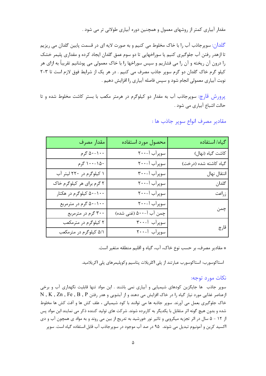مقدار آبیاری کمتر از روشهای معمول و همچنین دوره آبیاری طولانی تر می شود .

گلدان: سوپرجاذب آب را با خاک مخلوط می کنیم و به صورت لایه ای در قسمت پایین گلدان می ریزیم تا ازهدر رفتن آب جلوگیری کنیم یا سوراخهایی تا دو سوم عمق گلدان ایجاد کرده و مقداری پلیمر خشک را درون آن ریخته و آن را می فشاریم و سپس سوراخها را با خاک معمولی می پوشانیم تقریباً به ازای هر کیلو گرم خاک گلدان دو گرم سوپر جاذب مصرف می کنیم . در هر یک از شرایط فوق لازم است تا ۳-۲ نوبت آبیاری معمولی انجام شود و سپس فاصله آبیاری را افزایش دهیم .

یرورش قارچ: سوپرجاذب آب به مقدار دو کیلوگرم در هرمتر مکعب با بستر کاشت مخلوط شده و تا حالت اشباع آبیاری می شود .

| كياه/ استفاده         | محصول مورد استفاده     | مقدار مصرف                |
|-----------------------|------------------------|---------------------------|
| كاشت گياه (نهال)      | سوپرآب آ-۲۰۰           | ۰۰- ۱-۵۰ گرم              |
| گیاه کاشته شده (درخت) | سوپرآب آ-۲۰۰           | ۱۵۰–۱۰۰ گرم               |
| انتقال نهال           | سوپرآب آ-۳۰۰           | ۱ کیلوگرم در ۲۲۰ لیتر آب  |
| گلدان                 | سوپرآب آ-۲۰۰           | ۲ گرم برای هر کیلوگرم خاک |
| زراعت                 | سوپرآب آ-۲۰۰           | ۵۰-۱۰۰ کیلوگرم در هکتار   |
| چمن                   | سوپرآب آ-۲۰۰           | ۵۰-۱۰۰ گرم در مترمربع     |
|                       | چمن آب آ-۵۰۰ (غنی شده) | ۳۰۰ گرم در مترمربع        |
| قارچ                  | سوپرآب آ-۳۰۰           | ۲ کیلوگرم در مترمکعب      |
|                       | سوپرآب آ-۲۰۰           | ۵/۱ کیلوگرم در مترمکعب    |

مقادير مصرف انواع سوپر جاذب ها :

\* مقادير مصرف، بر حسب نوع خاک، آب، گياه و اقليم منطقه متغير است.

استاكوسورب: استاكوسورب عبارتند از پلي اكلريلات پتاسيم وكوپليمرهاي پلي اكريلاميد.

#### نکات مورد توجه:

سوپر جاذب ها جایگزین کودهای شیمیایی و آبیاری نمی باشند . این مواد تنها قابلیت نگهداری آب و برخی ازعناصر غذایی مورد نیاز گیاه را در خاک افزایش می دهند و از آبشویی و هدر رفتن N , K , Zn , Fe , B , P خاک جلوگیری بعمل می آورند. سوپر جاذبه ها می توانند با کود شیمیائی ، علف کش ها و آفت کش ها مخلوط شده و بدون هیچ گونه اثر متقابل با یکدیگر به کاربرده شوند. شرکت های تولید کننده ذکر می نمایند این مواد پس از ۱۲ - ۵ سال در اثر تجزیه میکروبی و تاثیر نور خورشید به تدریج از بین می روند و به مواد ی همچون آب و دی اکسید کرین و آمونیوم تبدیل می شوند. ۹۵ در صد آب موجود در سوپرجاذب آب قابل استفاده گیاه است. سوپر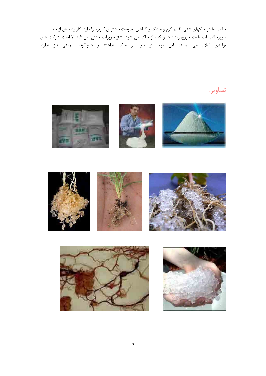جاذب ها در خاکهای شنی، اقلیم گرم و خشک و گیاهان آبدوست بیشترین کاربرد را دارد. کاربرد بیش از حد سوپرجاذب آب باعث خروج ریشه ها و گیاه از خاک می شود. pH سوپرآب خنثی بین ۶ تا ۷ است. شرکت های تولیدی اعلام می نمایند این مواد اثر سوء بر خاک نداشته و هیچگونه سمیتی نیز ندارد.

# تصاوير:







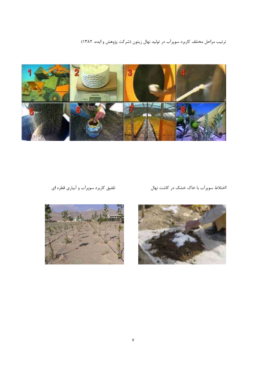ترتیب مراحل مختلف کاربرد سوپرآب در تولید نهال زیتون (شرکت پژوهش و ایده، ۱۳۸۲)



### تلفیق کاربرد سوپرآب و آبیاری قطره ای

اختلاط سوپرآب با خاک خشک در کاشت نهال